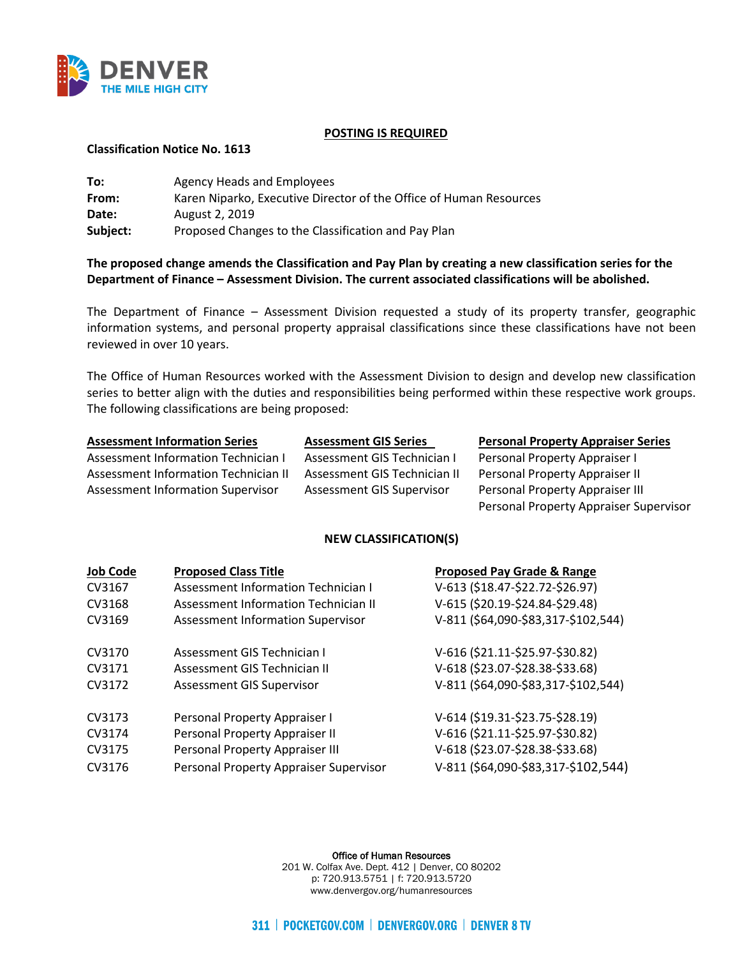

### **POSTING IS REQUIRED**

### **Classification Notice No. 1613**

| To:      | Agency Heads and Employees                                         |
|----------|--------------------------------------------------------------------|
| From:    | Karen Niparko, Executive Director of the Office of Human Resources |
| Date:    | August 2, 2019                                                     |
| Subject: | Proposed Changes to the Classification and Pay Plan                |

# **The proposed change amends the Classification and Pay Plan by creating a new classification series for the Department of Finance – Assessment Division. The current associated classifications will be abolished.**

The Department of Finance – Assessment Division requested a study of its property transfer, geographic information systems, and personal property appraisal classifications since these classifications have not been reviewed in over 10 years.

The Office of Human Resources worked with the Assessment Division to design and develop new classification series to better align with the duties and responsibilities being performed within these respective work groups. The following classifications are being proposed:

Assessment Information Technician I Assessment GIS Technician I Personal Property Appraiser I Assessment Information Technician II Assessment GIS Technician II Personal Property Appraiser II Assessment Information Supervisor Assessment GIS Supervisor Personal Property Appraiser III

**Assessment Information Series Assessment GIS Series Personal Property Appraiser Series** 

Personal Property Appraiser Supervisor

## **NEW CLASSIFICATION(S)**

| <b>Job Code</b> | <b>Proposed Class Title</b>              | <b>Proposed Pay Grade &amp; Range</b> |
|-----------------|------------------------------------------|---------------------------------------|
| CV3167          | Assessment Information Technician I      | V-613 (\$18.47-\$22.72-\$26.97)       |
| CV3168          | Assessment Information Technician II     | V-615 (\$20.19-\$24.84-\$29.48)       |
| CV3169          | <b>Assessment Information Supervisor</b> | V-811 (\$64,090-\$83,317-\$102,544)   |
| CV3170          | Assessment GIS Technician I              | V-616 (\$21.11-\$25.97-\$30.82)       |
| CV3171          | Assessment GIS Technician II             | V-618 (\$23.07-\$28.38-\$33.68)       |
| CV3172          | <b>Assessment GIS Supervisor</b>         | V-811 (\$64,090-\$83,317-\$102,544)   |
| CV3173          | Personal Property Appraiser I            | V-614 (\$19.31-\$23.75-\$28.19)       |
| CV3174          | Personal Property Appraiser II           | V-616 (\$21.11-\$25.97-\$30.82)       |
| CV3175          | Personal Property Appraiser III          | V-618 (\$23.07-\$28.38-\$33.68)       |
| CV3176          | Personal Property Appraiser Supervisor   | V-811 (\$64,090-\$83,317-\$102,544)   |

Office of Human Resources

201 W. Colfax Ave. Dept. 412 | Denver, CO 80202 p: 720.913.5751 | f: 720.913.5720 www.denvergov.org/humanresources